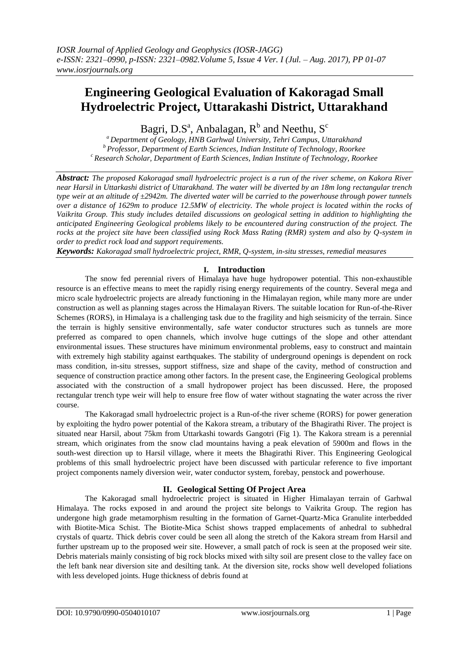# **Engineering Geological Evaluation of Kakoragad Small Hydroelectric Project, Uttarakashi District, Uttarakhand**

Bagri, D.S<sup>a</sup>, Anbalagan, R<sup>b</sup> and Neethu, S<sup>c</sup>

*<sup>a</sup>Department of Geology, HNB Garhwal University, Tehri Campus, Uttarakhand <sup>b</sup>Professor, Department of Earth Sciences, Indian Institute of Technology, Roorkee <sup>c</sup>Research Scholar, Department of Earth Sciences, Indian Institute of Technology, Roorkee*

*Abstract: The proposed Kakoragad small hydroelectric project is a run of the river scheme, on Kakora River near Harsil in Uttarkashi district of Uttarakhand. The water will be diverted by an 18m long rectangular trench type weir at an altitude of ±2942m. The diverted water will be carried to the powerhouse through power tunnels over a distance of 1629m to produce 12.5MW of electricity. The whole project is located within the rocks of Vaikrita Group. This study includes detailed discussions on geological setting in addition to highlighting the anticipated Engineering Geological problems likely to be encountered during construction of the project. The rocks at the project site have been classified using Rock Mass Rating (RMR) system and also by Q-system in order to predict rock load and support requirements.*

*Keywords: Kakoragad small hydroelectric project, RMR, Q-system, in-situ stresses, remedial measures*

# **I. Introduction**

The snow fed perennial rivers of Himalaya have huge hydropower potential. This non-exhaustible resource is an effective means to meet the rapidly rising energy requirements of the country. Several mega and micro scale hydroelectric projects are already functioning in the Himalayan region, while many more are under construction as well as planning stages across the Himalayan Rivers. The suitable location for Run-of-the-River Schemes (RORS), in Himalaya is a challenging task due to the fragility and high seismicity of the terrain. Since the terrain is highly sensitive environmentally, safe water conductor structures such as tunnels are more preferred as compared to open channels, which involve huge cuttings of the slope and other attendant environmental issues. These structures have minimum environmental problems, easy to construct and maintain with extremely high stability against earthquakes. The stability of underground openings is dependent on rock mass condition, in-situ stresses, support stiffness, size and shape of the cavity, method of construction and sequence of construction practice among other factors. In the present case, the Engineering Geological problems associated with the construction of a small hydropower project has been discussed. Here, the proposed rectangular trench type weir will help to ensure free flow of water without stagnating the water across the river course.

The Kakoragad small hydroelectric project is a Run-of-the river scheme (RORS) for power generation by exploiting the hydro power potential of the Kakora stream, a tributary of the Bhagirathi River. The project is situated near Harsil, about 75km from Uttarkashi towards Gangotri (Fig 1). The Kakora stream is a perennial stream, which originates from the snow clad mountains having a peak elevation of 5900m and flows in the south-west direction up to Harsil village, where it meets the Bhagirathi River. This Engineering Geological problems of this small hydroelectric project have been discussed with particular reference to five important project components namely diversion weir, water conductor system, forebay, penstock and powerhouse.

# **II. Geological Setting Of Project Area**

The Kakoragad small hydroelectric project is situated in Higher Himalayan terrain of Garhwal Himalaya. The rocks exposed in and around the project site belongs to Vaikrita Group. The region has undergone high grade metamorphism resulting in the formation of Garnet-Quartz-Mica Granulite interbedded with Biotite-Mica Schist. The Biotite-Mica Schist shows trapped emplacements of anhedral to subhedral crystals of quartz. Thick debris cover could be seen all along the stretch of the Kakora stream from Harsil and further upstream up to the proposed weir site. However, a small patch of rock is seen at the proposed weir site. Debris materials mainly consisting of big rock blocks mixed with silty soil are present close to the valley face on the left bank near diversion site and desilting tank. At the diversion site, rocks show well developed foliations with less developed joints. Huge thickness of debris found at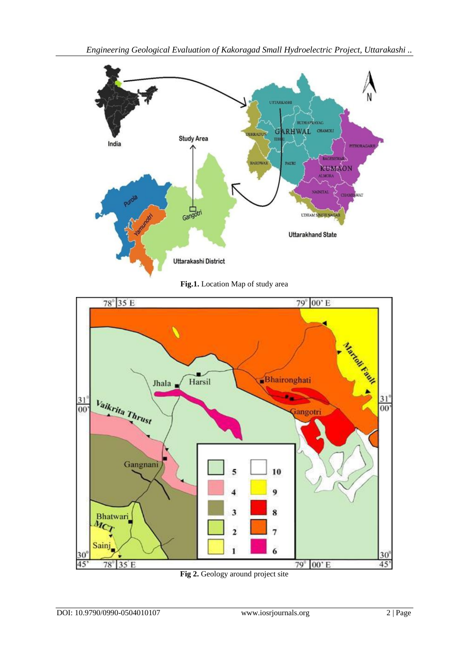

**Fig.1.** Location Map of study area



**Fig 2.** Geology around project site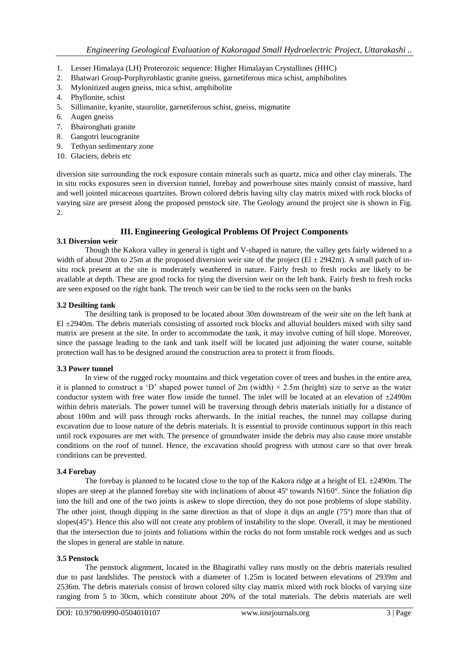- 1. Lesser Himalaya (LH) Proterozoic sequence: Higher Himalayan Crystallines (HHC)
- 2. Bhatwari Group-Porphyroblastic granite gneiss, garnetiferous mica schist, amphibolites
- 3. Mylonitized augen gneiss, mica schist, amphibolite
- 4. Phyllonite, schist
- 5. Sillimanite, kyanite, staurolite, garnetiferous schist, gneiss, migmatite
- 6. Augen gneiss
- 7. Bhaironghati granite
- 8. Gangotri leucogranite
- 9. Tethyan sedimentary zone
- 10. Glaciers, debris etc

diversion site surrounding the rock exposure contain minerals such as quartz, mica and other clay minerals. The in situ rocks exposures seen in diversion tunnel, forebay and powerhouse sites mainly consist of massive, hard and well jointed micaceous quartzites. Brown colored debris having silty clay matrix mixed with rock blocks of varying size are present along the proposed penstock site. The Geology around the project site is shown in Fig. 2.

# **III. Engineering Geological Problems Of Project Components**

# **3.1 Diversion weir**

Though the Kakora valley in general is tight and V-shaped in nature, the valley gets fairly widened to a width of about 20m to 25m at the proposed diversion weir site of the project ( $El \pm 2942$ m). A small patch of insitu rock present at the site is moderately weathered in nature. Fairly fresh to fresh rocks are likely to be available at depth. These are good rocks for tying the diversion weir on the left bank. Fairly fresh to fresh rocks are seen exposed on the right bank. The trench weir can be tied to the rocks seen on the banks

#### **3.2 Desilting tank**

The desilting tank is proposed to be located about 30m downstream of the weir site on the left bank at El ±2940m. The debris materials consisting of assorted rock blocks and alluvial boulders mixed with silty sand matrix are present at the site. In order to accommodate the tank, it may involve cutting of hill slope. Moreover, since the passage leading to the tank and tank itself will be located just adjoining the water course, suitable protection wall has to be designed around the construction area to protect it from floods.

#### **3.3 Power tunnel**

In view of the rugged rocky mountains and thick vegetation cover of trees and bushes in the entire area, it is planned to construct a 'D' shaped power tunnel of  $2m$  (width)  $\times$  2.5m (height) size to serve as the water conductor system with free water flow inside the tunnel. The inlet will be located at an elevation of  $\pm 2490m$ within debris materials. The power tunnel will be traversing through debris materials initially for a distance of about 100m and will pass through rocks afterwards. In the initial reaches, the tunnel may collapse during excavation due to loose nature of the debris materials. It is essential to provide continuous support in this reach until rock exposures are met with. The presence of groundwater inside the debris may also cause more unstable conditions on the roof of tunnel. Hence, the excavation should progress with utmost care so that over break conditions can be prevented.

# **3.4 Forebay**

The forebay is planned to be located close to the top of the Kakora ridge at a height of  $EL \pm 2490m$ . The slopes are steep at the planned forebay site with inclinations of about 45º towards N160°. Since the foliation dip into the hill and one of the two joints is askew to slope direction, they do not pose problems of slope stability. The other joint, though dipping in the same direction as that of slope it dips an angle (75º) more than that of slopes(45º). Hence this also will not create any problem of instability to the slope. Overall, it may be mentioned that the intersection due to joints and foliations within the rocks do not form unstable rock wedges and as such the slopes in general are stable in nature.

# **3.5 Penstock**

The penstock alignment, located in the Bhagirathi valley runs mostly on the debris materials resulted due to past landslides. The penstock with a diameter of 1.25m is located between elevations of 2939m and 2536m. The debris materials consist of brown colored silty clay matrix mixed with rock blocks of varying size ranging from 5 to 30cm, which constitute about 20% of the total materials. The debris materials are well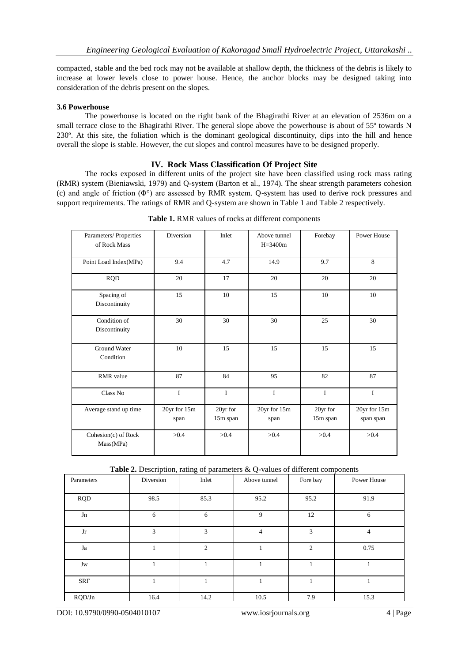compacted, stable and the bed rock may not be available at shallow depth, the thickness of the debris is likely to increase at lower levels close to power house. Hence, the anchor blocks may be designed taking into consideration of the debris present on the slopes.

#### **3.6 Powerhouse**

The powerhouse is located on the right bank of the Bhagirathi River at an elevation of 2536m on a small terrace close to the Bhagirathi River. The general slope above the powerhouse is about of 55<sup>°</sup> towards N 230º. At this site, the foliation which is the dominant geological discontinuity, dips into the hill and hence overall the slope is stable. However, the cut slopes and control measures have to be designed properly.

#### **IV. Rock Mass Classification Of Project Site**

The rocks exposed in different units of the project site have been classified using rock mass rating (RMR) system (Bieniawski, 1979) and Q-system (Barton et al., 1974). The shear strength parameters cohesion (c) and angle of friction (Φ°) are assessed by RMR system. Q-system has used to derive rock pressures and support requirements. The ratings of RMR and Q-system are shown in Table 1 and Table 2 respectively.

| Parameters/ Properties<br>of Rock Mass | Diversion            | Inlet                | Above tunnel<br>$H = 3400m$ | Forebay              | Power House               |
|----------------------------------------|----------------------|----------------------|-----------------------------|----------------------|---------------------------|
| Point Load Index(MPa)                  | 9.4                  | 4.7                  | 14.9                        | 9.7                  | 8                         |
| <b>RQD</b>                             | 20                   | 17                   | 20                          | 20                   | 20                        |
| Spacing of<br>Discontinuity            | 15                   | 10                   | 15                          | 10                   | 10                        |
| Condition of<br>Discontinuity          | 30                   | 30                   | 30                          | 25                   | 30                        |
| <b>Ground Water</b><br>Condition       | 10                   | 15                   | 15                          | 15                   | 15                        |
| RMR value                              | 87                   | 84                   | 95                          | 82                   | 87                        |
| Class No                               | I                    | I                    | $\mathbf I$                 | I                    | $\mathbf I$               |
| Average stand up time                  | 20yr for 15m<br>span | 20yr for<br>15m span | 20yr for 15m<br>span        | 20yr for<br>15m span | 20yr for 15m<br>span span |
| Cohesion(c) of Rock<br>Mass(MPa)       | >0.4                 | >0.4                 | >0.4                        | >0.4                 | >0.4                      |

**Table 1.** RMR values of rocks at different components

| Parameters | Diversion | Inlet          | $\overline{\phantom{a}}$<br>Above tunnel | Fore bay       | Power House |
|------------|-----------|----------------|------------------------------------------|----------------|-------------|
| <b>RQD</b> | 98.5      | 85.3           | 95.2                                     | 95.2           | 91.9        |
| ${\rm Jn}$ | 6         | 6              | 9                                        | 12             | 6           |
| ${\rm Jr}$ | 3         | 3              | 4                                        | 3              | 4           |
| Ja         |           | $\overline{c}$ |                                          | $\overline{2}$ | 0.75        |
| Jw         |           |                |                                          |                |             |
| <b>SRF</b> | 1         |                |                                          |                |             |
| RQD/Jn     | 16.4      | 14.2           | 10.5                                     | 7.9            | 15.3        |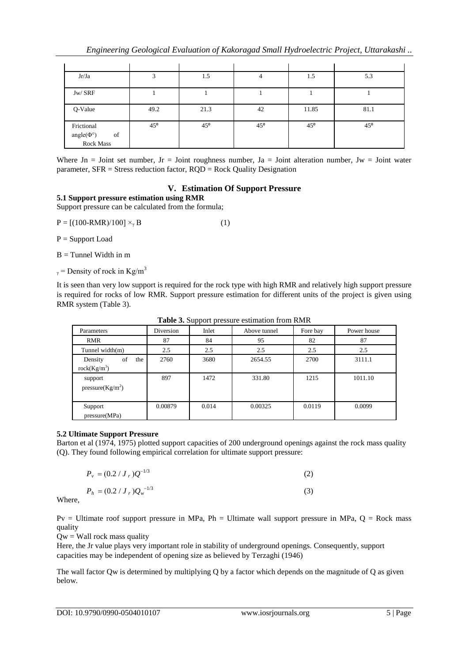| Jr/Ja                                             | 2            | 1.5             | 4            | 1.5          | 5.3          |
|---------------------------------------------------|--------------|-----------------|--------------|--------------|--------------|
| Jw/ SRF                                           |              |                 |              |              |              |
| Q-Value                                           | 49.2         | 21.3            | 42           | 11.85        | 81.1         |
| Frictional<br>angle( $\Phi$ °)<br>of<br>Rock Mass | $45^{\circ}$ | 45 <sup>o</sup> | $45^{\circ}$ | $45^{\circ}$ | $45^{\circ}$ |

Where  $Jn =$  Joint set number,  $Jr =$  Joint roughness number,  $Ja =$  Joint alteration number,  $Jw =$  Joint water parameter,  $SFR = \text{Stress reduction factor}, RQD = \text{Rock Quality Designation}$ 

# **V. Estimation Of Support Pressure**

# **5.1 Support pressure estimation using RMR**

Support pressure can be calculated from the formula;

 $P = [(100-RMR)/100] \times_{\gamma} B$  (1)

P = Support Load

 $B =$ Tunnel Width in m

 $_{\gamma}$  = Density of rock in Kg/m<sup>3</sup>

It is seen than very low support is required for the rock type with high RMR and relatively high support pressure is required for rocks of low RMR. Support pressure estimation for different units of the project is given using RMR system (Table 3).

| Parameters                   | Diversion | Inlet | Above tunnel | Fore bay | Power house |
|------------------------------|-----------|-------|--------------|----------|-------------|
| <b>RMR</b>                   | 87        | 84    | 95           | 82       | 87          |
| Tunnel width $(m)$           | 2.5       | 2.5   | 2.5          | 2.5      | 2.5         |
| of<br>Density<br>the         | 2760      | 3680  | 2654.55      | 2700     | 3111.1      |
| rock(Kg/m <sup>3</sup> )     |           |       |              |          |             |
| support                      | 897       | 1472  | 331.80       | 1215     | 1011.10     |
| pressure(Kg/m <sup>2</sup> ) |           |       |              |          |             |
|                              |           |       |              |          |             |
| Support                      | 0.00879   | 0.014 | 0.00325      | 0.0119   | 0.0099      |
| pressure(MPa)                |           |       |              |          |             |

**Table 3.** Support pressure estimation from RMR

# **5.2 Ultimate Support Pressure**

Barton et al (1974, 1975) plotted support capacities of 200 underground openings against the rock mass quality (Q). They found following empirical correlation for ultimate support pressure:

$$
P_{\nu} = (0.2 / J_{r}) Q^{-1/3}
$$
\n
$$
P_{h} = (0.2 / J_{r}) Q_{\nu}^{-1/3}
$$
\n(3)

Where,

 $Pv =$  Ultimate roof support pressure in MPa,  $Ph =$  Ultimate wall support pressure in MPa,  $Q =$  Rock mass quality

 $Qw =$  Wall rock mass quality

Here, the Jr value plays very important role in stability of underground openings. Consequently, support capacities may be independent of opening size as believed by Terzaghi (1946)

The wall factor Qw is determined by multiplying Q by a factor which depends on the magnitude of Q as given below.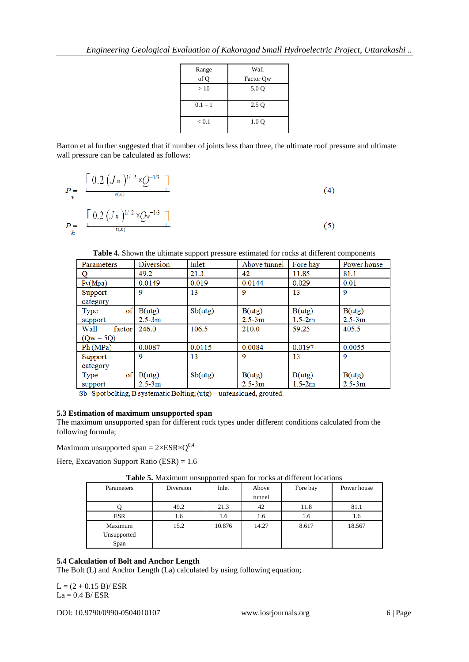| Range     | Wall      |
|-----------|-----------|
| of Q      | Factor Qw |
| >10       | 5.0 Q     |
|           |           |
| $0.1 - 1$ | 2.5 Q     |
| < 0.1     | 1.0 Q     |

Barton et al further suggested that if number of joints less than three, the ultimate roof pressure and ultimate wall pressure can be calculated as follows:

$$
P = \frac{\left[ 0.2 (J_n)^{1/2} \times Q^{-1/3} \right]}{1} \tag{4}
$$
\n
$$
P = \frac{\left[ 0.2 (J_n)^{1/2} \times Q_w^{-1/3} \right]}{1} \tag{5}
$$

**Table 4.** Shown the ultimate support pressure estimated for rocks at different components

| Parameters                    | Diversion            | Inlet   | Above tunnel         | Fore bay             | Power house          |
|-------------------------------|----------------------|---------|----------------------|----------------------|----------------------|
| O                             | 49.2                 | 21.3    | 42                   | 11.85                | 81.1                 |
| P <sub>V</sub> (Mpa)          | 0.0149               | 0.019   | 0.0144               | 0.029                | 0.01                 |
| Support<br>category           | 9                    | 13      | 9                    | 13                   | 9                    |
| of<br>Type<br>support         | B(utg)<br>$2.5 - 3m$ | Sb(utg) | B(uts)<br>$2.5 - 3m$ | B(utg)<br>$1.5 - 2m$ | B(utg)<br>$2.5 - 3m$ |
| Wall<br>factor<br>$(Qw = 5Q)$ | 246.0                | 106.5   | 210.0                | 59.25                | 405.5                |
| Ph(MPa)                       | 0.0087               | 0.0115  | 0.0084               | 0.0197               | 0.0055               |
| Support<br>category           | 9                    | 13      | 9                    | 13                   | 9                    |
| of<br>Type<br>support         | B(utg)<br>$2.5 - 3m$ | Sb(utg) | B(utg)<br>$2.5 - 3m$ | B(utg)<br>$1.5 - 2m$ | B(utg)<br>$2.5 - 3m$ |

 $Sb = Spot$  bolting, B systematic Bolting; (utg) = untensioned, grouted.

# **5.3 Estimation of maximum unsupported span**

The maximum unsupported span for different rock types under different conditions calculated from the following formula;

Maximum unsupported span =  $2 \times ESR \times Q^{0.4}$ 

Here, Excavation Support Ratio (ESR) = 1.6

| <b>Tuole of Muhimmin amorported span for focus at unferent focultons</b> |           |        |        |          |             |
|--------------------------------------------------------------------------|-----------|--------|--------|----------|-------------|
| Parameters                                                               | Diversion | Inlet  | Above  | Fore bay | Power house |
|                                                                          |           |        | tunnel |          |             |
|                                                                          | 49.2      | 21.3   | 42     | 11.8     | 81.1        |
| <b>ESR</b>                                                               | 1.6       | 1.6    | 1.6    | 1.6      | 1.6         |
| Maximum                                                                  | 15.2      | 10.876 | 14.27  | 8.617    | 18.567      |
| Unsupported                                                              |           |        |        |          |             |
| Span                                                                     |           |        |        |          |             |

**Table 5.** Maximum unsupported span for rocks at different locations

# **5.4 Calculation of Bolt and Anchor Length**

The Bolt (L) and Anchor Length (La) calculated by using following equation;

 $L = (2 + 0.15 B)/ ESR$  $La = 0.4 B/ESR$